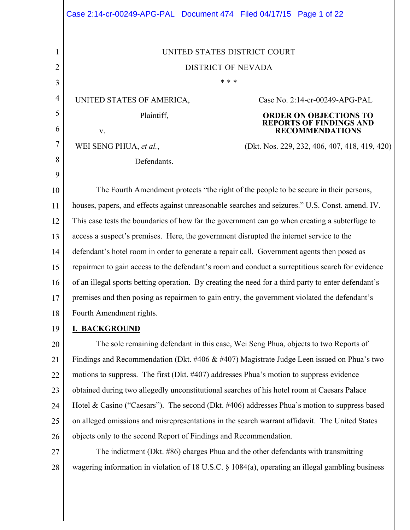|                | Case 2:14-cr-00249-APG-PAL Document 474 Filed 04/17/15 Page 1 of 22                                 |                                                                 |
|----------------|-----------------------------------------------------------------------------------------------------|-----------------------------------------------------------------|
|                |                                                                                                     |                                                                 |
| 1              | UNITED STATES DISTRICT COURT                                                                        |                                                                 |
| $\overline{2}$ | <b>DISTRICT OF NEVADA</b>                                                                           |                                                                 |
| 3              | * * *                                                                                               |                                                                 |
| 4              | UNITED STATES OF AMERICA,                                                                           | Case No. 2:14-cr-00249-APG-PAL                                  |
| 5<br>6         | Plaintiff,                                                                                          | <b>ORDER ON OBJECTIONS TO</b><br><b>REPORTS OF FINDINGS AND</b> |
| 7              | V.                                                                                                  | <b>RECOMMENDATIONS</b>                                          |
| 8              | WEI SENG PHUA, et al.,                                                                              | (Dkt. Nos. 229, 232, 406, 407, 418, 419, 420)                   |
| 9              | Defendants.                                                                                         |                                                                 |
| 10             | The Fourth Amendment protects "the right of the people to be secure in their persons,               |                                                                 |
| 11             | houses, papers, and effects against unreasonable searches and seizures." U.S. Const. amend. IV.     |                                                                 |
| 12             | This case tests the boundaries of how far the government can go when creating a subterfuge to       |                                                                 |
| 13             | access a suspect's premises. Here, the government disrupted the internet service to the             |                                                                 |
| 14             | defendant's hotel room in order to generate a repair call. Government agents then posed as          |                                                                 |
| 15             | repairmen to gain access to the defendant's room and conduct a surreptitious search for evidence    |                                                                 |
| 16             | of an illegal sports betting operation. By creating the need for a third party to enter defendant's |                                                                 |
| 17             | premises and then posing as repairmen to gain entry, the government violated the defendant's        |                                                                 |
| 18             | Fourth Amendment rights.                                                                            |                                                                 |
| 19             | <b>I. BACKGROUND</b>                                                                                |                                                                 |
| 20             | The sole remaining defendant in this case, Wei Seng Phua, objects to two Reports of                 |                                                                 |
| 21             | Findings and Recommendation (Dkt. #406 $\&$ #407) Magistrate Judge Leen issued on Phua's two        |                                                                 |
| 22             | motions to suppress. The first (Dkt. #407) addresses Phua's motion to suppress evidence             |                                                                 |
| 23             | obtained during two allegedly unconstitutional searches of his hotel room at Caesars Palace         |                                                                 |
| 24             | Hotel & Casino ("Caesars"). The second (Dkt. #406) addresses Phua's motion to suppress based        |                                                                 |
| 25             | on alleged omissions and misrepresentations in the search warrant affidavit. The United States      |                                                                 |
| 26             | objects only to the second Report of Findings and Recommendation.                                   |                                                                 |
| 27             | The indictment (Dkt. #86) charges Phua and the other defendants with transmitting                   |                                                                 |

28 wagering information in violation of 18 U.S.C. § 1084(a), operating an illegal gambling business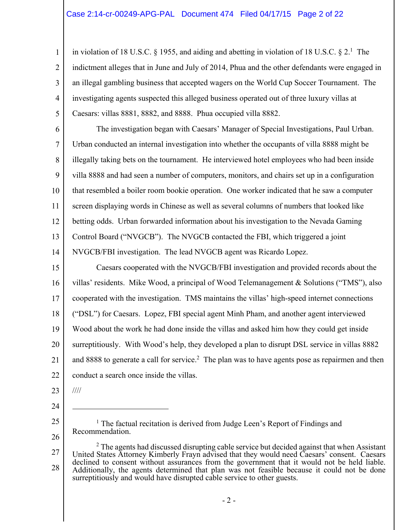in violation of 18 U.S.C.  $\S$  1955, and aiding and abetting in violation of 18 U.S.C.  $\S$  2.<sup>1</sup> The indictment alleges that in June and July of 2014, Phua and the other defendants were engaged in an illegal gambling business that accepted wagers on the World Cup Soccer Tournament. The investigating agents suspected this alleged business operated out of three luxury villas at Caesars: villas 8881, 8882, and 8888. Phua occupied villa 8882.

6 7 8 9 10 11 12 13 14 The investigation began with Caesars' Manager of Special Investigations, Paul Urban. Urban conducted an internal investigation into whether the occupants of villa 8888 might be illegally taking bets on the tournament. He interviewed hotel employees who had been inside villa 8888 and had seen a number of computers, monitors, and chairs set up in a configuration that resembled a boiler room bookie operation. One worker indicated that he saw a computer screen displaying words in Chinese as well as several columns of numbers that looked like betting odds. Urban forwarded information about his investigation to the Nevada Gaming Control Board ("NVGCB"). The NVGCB contacted the FBI, which triggered a joint NVGCB/FBI investigation. The lead NVGCB agent was Ricardo Lopez.

15 16 17 18 19 20 21 22 Caesars cooperated with the NVGCB/FBI investigation and provided records about the villas' residents. Mike Wood, a principal of Wood Telemanagement & Solutions ("TMS"), also cooperated with the investigation. TMS maintains the villas' high-speed internet connections ("DSL") for Caesars. Lopez, FBI special agent Minh Pham, and another agent interviewed Wood about the work he had done inside the villas and asked him how they could get inside surreptitiously. With Wood's help, they developed a plan to disrupt DSL service in villas 8882 and 8888 to generate a call for service.<sup>2</sup> The plan was to have agents pose as repairmen and then conduct a search once inside the villas.

23 ////

 $\overline{a}$ 

24

1

2

3

4

5

25 26

<sup>1</sup> The factual recitation is derived from Judge Leen's Report of Findings and Recommendation.

27 28  $2$  The agents had discussed disrupting cable service but decided against that when Assistant United States Attorney Kimberly Frayn advised that they would need Caesars' consent. Caesars declined to consent without assurances from the government that it would not be held liable. Additionally, the agents determined that plan was not feasible because it could not be done surreptitiously and would have disrupted cable service to other guests.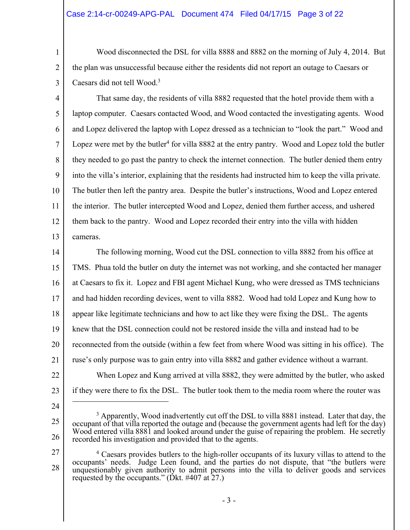## Case 2:14-cr-00249-APG-PAL Document 474 Filed 04/17/15 Page 3 of 22

 Wood disconnected the DSL for villa 8888 and 8882 on the morning of July 4, 2014. But the plan was unsuccessful because either the residents did not report an outage to Caesars or Caesars did not tell Wood.<sup>3</sup>

3

1

2

4 5 6 7 8 9 10 11 12 13 That same day, the residents of villa 8882 requested that the hotel provide them with a laptop computer. Caesars contacted Wood, and Wood contacted the investigating agents. Wood and Lopez delivered the laptop with Lopez dressed as a technician to "look the part." Wood and Lopez were met by the butler<sup>4</sup> for villa 8882 at the entry pantry. Wood and Lopez told the butler they needed to go past the pantry to check the internet connection. The butler denied them entry into the villa's interior, explaining that the residents had instructed him to keep the villa private. The butler then left the pantry area. Despite the butler's instructions, Wood and Lopez entered the interior. The butler intercepted Wood and Lopez, denied them further access, and ushered them back to the pantry. Wood and Lopez recorded their entry into the villa with hidden cameras.

14 15 16 17 18 19 20 21 22 The following morning, Wood cut the DSL connection to villa 8882 from his office at TMS. Phua told the butler on duty the internet was not working, and she contacted her manager at Caesars to fix it. Lopez and FBI agent Michael Kung, who were dressed as TMS technicians and had hidden recording devices, went to villa 8882. Wood had told Lopez and Kung how to appear like legitimate technicians and how to act like they were fixing the DSL. The agents knew that the DSL connection could not be restored inside the villa and instead had to be reconnected from the outside (within a few feet from where Wood was sitting in his office). The ruse's only purpose was to gain entry into villa 8882 and gather evidence without a warrant. When Lopez and Kung arrived at villa 8882, they were admitted by the butler, who asked

23 if they were there to fix the DSL. The butler took them to the media room where the router was

 $\overline{a}$ 

27

<sup>24</sup> 

<sup>25</sup>  26

<sup>&</sup>lt;sup>3</sup> Apparently, Wood inadvertently cut off the DSL to villa 8881 instead. Later that day, the occupant of that villa reported the outage and (because the government agents had left for the day) Wood entered villa 8881 and looked around under the guise of repairing the problem. He secretly recorded his investigation and provided that to the agents.

<sup>28</sup>  <sup>4</sup> Caesars provides butlers to the high-roller occupants of its luxury villas to attend to the occupants' needs. Judge Leen found, and the parties do not dispute, that "the butlers were unquestionably given authority to admit persons into the villa to deliver goods and services requested by the occupants." ( $\tilde{D}$ kt. #407 at 27.)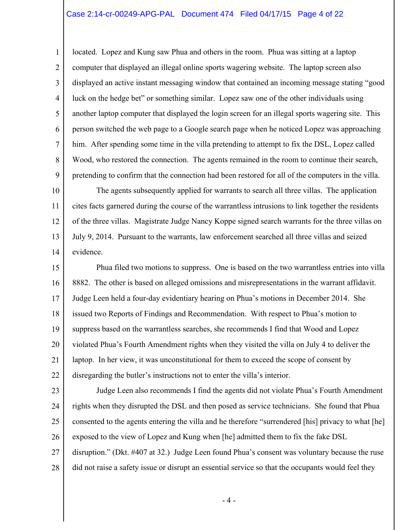#### Case 2:14-cr-00249-APG-PAL Document 474 Filed 04/17/15 Page 4 of 22

1

2

3

4

5

6

7

8

9

located. Lopez and Kung saw Phua and others in the room. Phua was sitting at a laptop computer that displayed an illegal online sports wagering website. The laptop screen also displayed an active instant messaging window that contained an incoming message stating "good luck on the hedge bet" or something similar. Lopez saw one of the other individuals using another laptop computer that displayed the login screen for an illegal sports wagering site. This person switched the web page to a Google search page when he noticed Lopez was approaching him. After spending some time in the villa pretending to attempt to fix the DSL, Lopez called Wood, who restored the connection. The agents remained in the room to continue their search, pretending to confirm that the connection had been restored for all of the computers in the villa.

10 11 12 13 14 The agents subsequently applied for warrants to search all three villas. The application cites facts garnered during the course of the warrantless intrusions to link together the residents of the three villas. Magistrate Judge Nancy Koppe signed search warrants for the three villas on July 9, 2014. Pursuant to the warrants, law enforcement searched all three villas and seized evidence.

15 16 17 18 19 20 21 22 Phua filed two motions to suppress. One is based on the two warrantless entries into villa 8882. The other is based on alleged omissions and misrepresentations in the warrant affidavit. Judge Leen held a four-day evidentiary hearing on Phua's motions in December 2014. She issued two Reports of Findings and Recommendation. With respect to Phua's motion to suppress based on the warrantless searches, she recommends I find that Wood and Lopez violated Phua's Fourth Amendment rights when they visited the villa on July 4 to deliver the laptop. In her view, it was unconstitutional for them to exceed the scope of consent by disregarding the butler's instructions not to enter the villa's interior.

23 24 25 26 27 28 Judge Leen also recommends I find the agents did not violate Phua's Fourth Amendment rights when they disrupted the DSL and then posed as service technicians. She found that Phua consented to the agents entering the villa and he therefore "surrendered [his] privacy to what [he] exposed to the view of Lopez and Kung when [he] admitted them to fix the fake DSL disruption." (Dkt. #407 at 32.) Judge Leen found Phua's consent was voluntary because the ruse did not raise a safety issue or disrupt an essential service so that the occupants would feel they

 $-4-$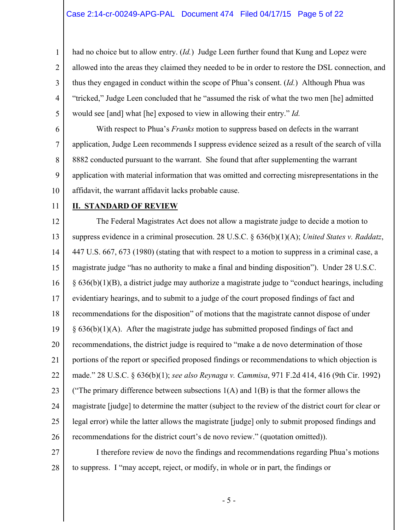3 4 had no choice but to allow entry. (*Id.*) Judge Leen further found that Kung and Lopez were allowed into the areas they claimed they needed to be in order to restore the DSL connection, and thus they engaged in conduct within the scope of Phua's consent. (*Id.*) Although Phua was "tricked," Judge Leen concluded that he "assumed the risk of what the two men [he] admitted would see [and] what [he] exposed to view in allowing their entry." *Id.*

6 7 8 9 10 With respect to Phua's *Franks* motion to suppress based on defects in the warrant application, Judge Leen recommends I suppress evidence seized as a result of the search of villa 8882 conducted pursuant to the warrant. She found that after supplementing the warrant application with material information that was omitted and correcting misrepresentations in the affidavit, the warrant affidavit lacks probable cause.

11

1

2

5

## **II. STANDARD OF REVIEW**

12 13 14 15 16 17 18 19 20 21 22 23 24 25 26 The Federal Magistrates Act does not allow a magistrate judge to decide a motion to suppress evidence in a criminal prosecution. 28 U.S.C. § 636(b)(1)(A); *United States v. Raddatz*, 447 U.S. 667, 673 (1980) (stating that with respect to a motion to suppress in a criminal case, a magistrate judge "has no authority to make a final and binding disposition"). Under 28 U.S.C. § 636(b)(1)(B), a district judge may authorize a magistrate judge to "conduct hearings, including evidentiary hearings, and to submit to a judge of the court proposed findings of fact and recommendations for the disposition" of motions that the magistrate cannot dispose of under  $§ 636(b)(1)(A)$ . After the magistrate judge has submitted proposed findings of fact and recommendations, the district judge is required to "make a de novo determination of those portions of the report or specified proposed findings or recommendations to which objection is made." 28 U.S.C. § 636(b)(1); *see also Reynaga v. Cammisa*, 971 F.2d 414, 416 (9th Cir. 1992) ("The primary difference between subsections  $1(A)$  and  $1(B)$  is that the former allows the magistrate [judge] to determine the matter (subject to the review of the district court for clear or legal error) while the latter allows the magistrate [judge] only to submit proposed findings and recommendations for the district court's de novo review." (quotation omitted)).

27 28 I therefore review de novo the findings and recommendations regarding Phua's motions to suppress. I "may accept, reject, or modify, in whole or in part, the findings or

- 5 -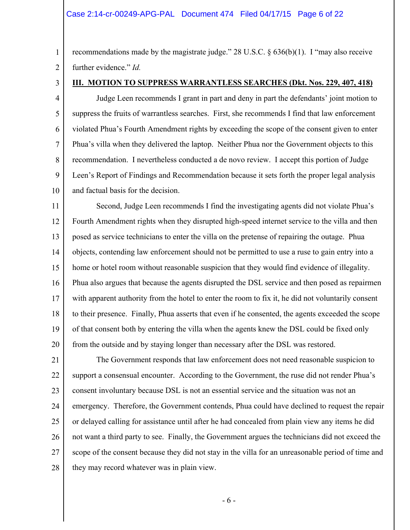#### Case 2:14-cr-00249-APG-PAL Document 474 Filed 04/17/15 Page 6 of 22

1 2 recommendations made by the magistrate judge." 28 U.S.C. § 636(b)(1). I "may also receive further evidence." *Id.*

3

5

8

#### **III. MOTION TO SUPPRESS WARRANTLESS SEARCHES (Dkt. Nos. 229, 407, 418)**

4 6 7 9 10 Judge Leen recommends I grant in part and deny in part the defendants' joint motion to suppress the fruits of warrantless searches. First, she recommends I find that law enforcement violated Phua's Fourth Amendment rights by exceeding the scope of the consent given to enter Phua's villa when they delivered the laptop. Neither Phua nor the Government objects to this recommendation. I nevertheless conducted a de novo review. I accept this portion of Judge Leen's Report of Findings and Recommendation because it sets forth the proper legal analysis and factual basis for the decision.

11 12 13 14 15 16 17 18 19 20 Second, Judge Leen recommends I find the investigating agents did not violate Phua's Fourth Amendment rights when they disrupted high-speed internet service to the villa and then posed as service technicians to enter the villa on the pretense of repairing the outage. Phua objects, contending law enforcement should not be permitted to use a ruse to gain entry into a home or hotel room without reasonable suspicion that they would find evidence of illegality. Phua also argues that because the agents disrupted the DSL service and then posed as repairmen with apparent authority from the hotel to enter the room to fix it, he did not voluntarily consent to their presence. Finally, Phua asserts that even if he consented, the agents exceeded the scope of that consent both by entering the villa when the agents knew the DSL could be fixed only from the outside and by staying longer than necessary after the DSL was restored.

21 22 23 24 25 26 27 28 The Government responds that law enforcement does not need reasonable suspicion to support a consensual encounter. According to the Government, the ruse did not render Phua's consent involuntary because DSL is not an essential service and the situation was not an emergency. Therefore, the Government contends, Phua could have declined to request the repair or delayed calling for assistance until after he had concealed from plain view any items he did not want a third party to see. Finally, the Government argues the technicians did not exceed the scope of the consent because they did not stay in the villa for an unreasonable period of time and they may record whatever was in plain view.

- 6 -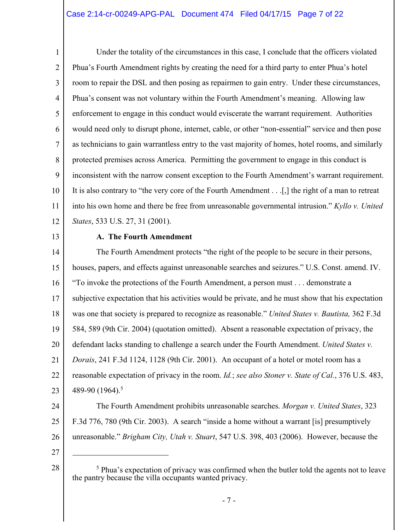## Case 2:14-cr-00249-APG-PAL Document 474 Filed 04/17/15 Page 7 of 22

1 2 3 4 5 6 7 8 9 10 11 12 Under the totality of the circumstances in this case, I conclude that the officers violated Phua's Fourth Amendment rights by creating the need for a third party to enter Phua's hotel room to repair the DSL and then posing as repairmen to gain entry. Under these circumstances, Phua's consent was not voluntary within the Fourth Amendment's meaning. Allowing law enforcement to engage in this conduct would eviscerate the warrant requirement. Authorities would need only to disrupt phone, internet, cable, or other "non-essential" service and then pose as technicians to gain warrantless entry to the vast majority of homes, hotel rooms, and similarly protected premises across America. Permitting the government to engage in this conduct is inconsistent with the narrow consent exception to the Fourth Amendment's warrant requirement. It is also contrary to "the very core of the Fourth Amendment . . .[,] the right of a man to retreat into his own home and there be free from unreasonable governmental intrusion." *Kyllo v. United States*, 533 U.S. 27, 31 (2001).

13

## **A. The Fourth Amendment**

14 15 16 17 18 19 20 21 22 23 The Fourth Amendment protects "the right of the people to be secure in their persons, houses, papers, and effects against unreasonable searches and seizures." U.S. Const. amend. IV. "To invoke the protections of the Fourth Amendment, a person must . . . demonstrate a subjective expectation that his activities would be private, and he must show that his expectation was one that society is prepared to recognize as reasonable." *United States v. Bautista,* 362 F.3d 584, 589 (9th Cir. 2004) (quotation omitted). Absent a reasonable expectation of privacy, the defendant lacks standing to challenge a search under the Fourth Amendment. *United States v. Dorais*, 241 F.3d 1124, 1128 (9th Cir. 2001). An occupant of a hotel or motel room has a reasonable expectation of privacy in the room. *Id.*; *see also Stoner v. State of Cal.*, 376 U.S. 483, 489-90 (1964).<sup>5</sup>

24

25 26 F.3d 776, 780 (9th Cir. 2003). A search "inside a home without a warrant [is] presumptively unreasonable." *Brigham City, Utah v. Stuart*, 547 U.S. 398, 403 (2006). However, because the

The Fourth Amendment prohibits unreasonable searches. *Morgan v. United States*, 323

27

28

 $\overline{a}$ 

<sup>&</sup>lt;sup>5</sup> Phua's expectation of privacy was confirmed when the butler told the agents not to leave the pantry because the villa occupants wanted privacy.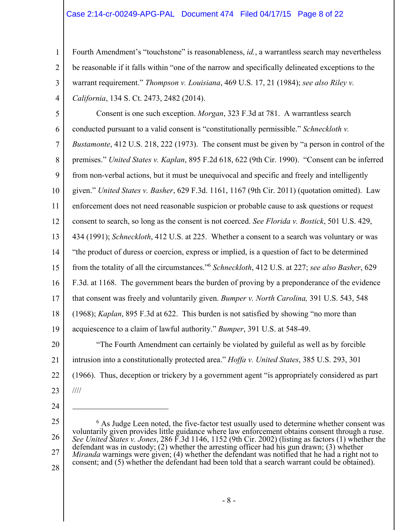## Case 2:14-cr-00249-APG-PAL Document 474 Filed 04/17/15 Page 8 of 22

Fourth Amendment's "touchstone" is reasonableness, *id.*, a warrantless search may nevertheless be reasonable if it falls within "one of the narrow and specifically delineated exceptions to the warrant requirement." *Thompson v. Louisiana*, 469 U.S. 17, 21 (1984); *see also Riley v. California*, 134 S. Ct. 2473, 2482 (2014).

5 6 7 8 9 10 11 12 13 14 15 16 17 18 19 20 21 22 23 Consent is one such exception. *Morgan*, 323 F.3d at 781. A warrantless search conducted pursuant to a valid consent is "constitutionally permissible." *Schneckloth v. Bustamonte*, 412 U.S. 218, 222 (1973). The consent must be given by "a person in control of the premises." *United States v. Kaplan*, 895 F.2d 618, 622 (9th Cir. 1990). "Consent can be inferred from non-verbal actions, but it must be unequivocal and specific and freely and intelligently given." *United States v. Basher*, 629 F.3d. 1161, 1167 (9th Cir. 2011) (quotation omitted). Law enforcement does not need reasonable suspicion or probable cause to ask questions or request consent to search, so long as the consent is not coerced. *See Florida v. Bostick*, 501 U.S. 429, 434 (1991); *Schneckloth*, 412 U.S. at 225. Whether a consent to a search was voluntary or was "the product of duress or coercion, express or implied, is a question of fact to be determined from the totality of all the circumstances."6 *Schneckloth*, 412 U.S. at 227; *see also Basher*, 629 F.3d. at 1168. The government bears the burden of proving by a preponderance of the evidence that consent was freely and voluntarily given. *Bumper v. North Carolina,* 391 U.S. 543, 548 (1968); *Kaplan*, 895 F.3d at 622. This burden is not satisfied by showing "no more than acquiescence to a claim of lawful authority." *Bumper*, 391 U.S. at 548-49. "The Fourth Amendment can certainly be violated by guileful as well as by forcible intrusion into a constitutionally protected area." *Hoffa v. United States*, 385 U.S. 293, 301 (1966). Thus, deception or trickery by a government agent "is appropriately considered as part ////

24

 $\overline{a}$ 

1

2

3

4

25

28

27

<sup>26</sup>  <sup>6</sup> As Judge Leen noted, the five-factor test usually used to determine whether consent was voluntarily given provides little guidance where law enforcement obtains consent through a ruse. *See United States v. Jones*, 286 F.3d 1146, 1152 (9th Cir. 2002) (listing as factors (1) whether the defendant was in custody; (2) whether the arresting officer had his gun drawn; (3) whether *Miranda* warnings were given; (4) whether the defendant was notified that he had a right not to consent; and (5) whether the defendant had been told that a search warrant could be obtained).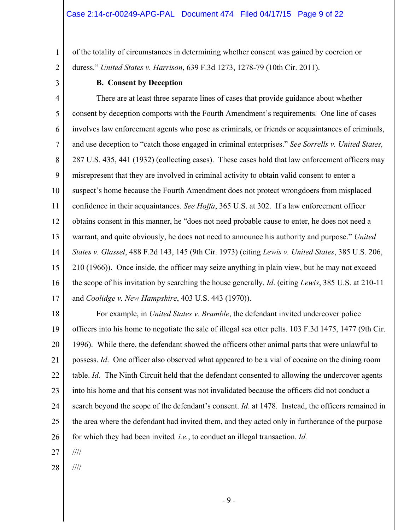of the totality of circumstances in determining whether consent was gained by coercion or duress." *United States v. Harrison*, 639 F.3d 1273, 1278-79 (10th Cir. 2011).

2 3

1

### **B. Consent by Deception**

4 5 6 7 8 9 10 11 12 13 14 15 16 17 There are at least three separate lines of cases that provide guidance about whether consent by deception comports with the Fourth Amendment's requirements. One line of cases involves law enforcement agents who pose as criminals, or friends or acquaintances of criminals, and use deception to "catch those engaged in criminal enterprises." *See Sorrells v. United States,*  287 U.S. 435, 441 (1932) (collecting cases). These cases hold that law enforcement officers may misrepresent that they are involved in criminal activity to obtain valid consent to enter a suspect's home because the Fourth Amendment does not protect wrongdoers from misplaced confidence in their acquaintances. *See Hoffa*, 365 U.S. at 302. If a law enforcement officer obtains consent in this manner, he "does not need probable cause to enter, he does not need a warrant, and quite obviously, he does not need to announce his authority and purpose." *United States v. Glassel*, 488 F.2d 143, 145 (9th Cir. 1973) (citing *Lewis v. United States*, 385 U.S. 206, 210 (1966)). Once inside, the officer may seize anything in plain view, but he may not exceed the scope of his invitation by searching the house generally. *Id*. (citing *Lewis*, 385 U.S. at 210-11 and *Coolidge v. New Hampshire*, 403 U.S. 443 (1970)).

18

19 20 21 22 23 24 25 26 For example, in *United States v. Bramble*, the defendant invited undercover police officers into his home to negotiate the sale of illegal sea otter pelts. 103 F.3d 1475, 1477 (9th Cir. 1996). While there, the defendant showed the officers other animal parts that were unlawful to possess. *Id*. One officer also observed what appeared to be a vial of cocaine on the dining room table. *Id.* The Ninth Circuit held that the defendant consented to allowing the undercover agents into his home and that his consent was not invalidated because the officers did not conduct a search beyond the scope of the defendant's consent. *Id*. at 1478. Instead, the officers remained in the area where the defendant had invited them, and they acted only in furtherance of the purpose for which they had been invited*, i.e.*, to conduct an illegal transaction. *Id.*

27 ////

28 ////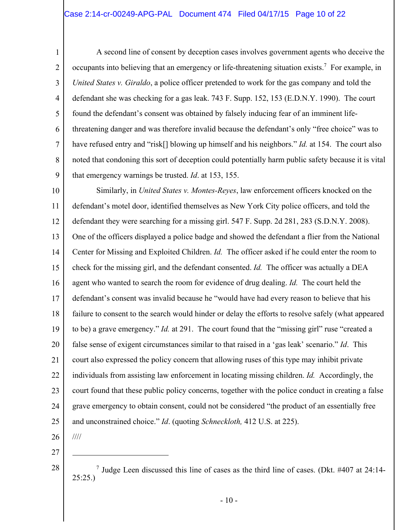## Case 2:14-cr-00249-APG-PAL Document 474 Filed 04/17/15 Page 10 of 22

1 2 3 4 5 6 7 8 9 A second line of consent by deception cases involves government agents who deceive the occupants into believing that an emergency or life-threatening situation exists.<sup>7</sup> For example, in *United States v. Giraldo*, a police officer pretended to work for the gas company and told the defendant she was checking for a gas leak. 743 F. Supp. 152, 153 (E.D.N.Y. 1990). The court found the defendant's consent was obtained by falsely inducing fear of an imminent lifethreatening danger and was therefore invalid because the defendant's only "free choice" was to have refused entry and "risk[] blowing up himself and his neighbors." *Id.* at 154. The court also noted that condoning this sort of deception could potentially harm public safety because it is vital that emergency warnings be trusted. *Id*. at 153, 155.

10 11 12 13 14 15 16 17 18 19 20 21 22 23 24 25 Similarly, in *United States v. Montes-Reyes*, law enforcement officers knocked on the defendant's motel door, identified themselves as New York City police officers, and told the defendant they were searching for a missing girl. 547 F. Supp. 2d 281, 283 (S.D.N.Y. 2008). One of the officers displayed a police badge and showed the defendant a flier from the National Center for Missing and Exploited Children. *Id.* The officer asked if he could enter the room to check for the missing girl, and the defendant consented. *Id.* The officer was actually a DEA agent who wanted to search the room for evidence of drug dealing. *Id.* The court held the defendant's consent was invalid because he "would have had every reason to believe that his failure to consent to the search would hinder or delay the efforts to resolve safely (what appeared to be) a grave emergency." *Id.* at 291. The court found that the "missing girl" ruse "created a false sense of exigent circumstances similar to that raised in a 'gas leak' scenario." *Id*. This court also expressed the policy concern that allowing ruses of this type may inhibit private individuals from assisting law enforcement in locating missing children. *Id.* Accordingly, the court found that these public policy concerns, together with the police conduct in creating a false grave emergency to obtain consent, could not be considered "the product of an essentially free and unconstrained choice." *Id*. (quoting *Schneckloth,* 412 U.S. at 225).

26

////

 $\overline{a}$ 

27

28

<sup>7</sup> Judge Leen discussed this line of cases as the third line of cases. (Dkt. #407 at 24:14- 25:25.)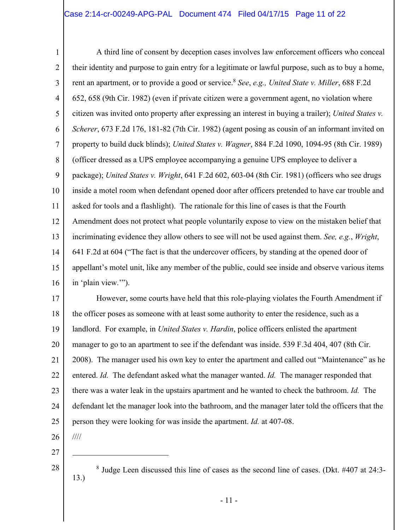## Case 2:14-cr-00249-APG-PAL Document 474 Filed 04/17/15 Page 11 of 22

1 2 3 4 5 6 7 8 9 10 11 12 13 14 15 16 A third line of consent by deception cases involves law enforcement officers who conceal their identity and purpose to gain entry for a legitimate or lawful purpose, such as to buy a home, rent an apartment, or to provide a good or service.<sup>8</sup> *See*, *e.g., United State v. Miller*, 688 F.2d 652, 658 (9th Cir. 1982) (even if private citizen were a government agent, no violation where citizen was invited onto property after expressing an interest in buying a trailer); *United States v. Scherer*, 673 F.2d 176, 181-82 (7th Cir. 1982) (agent posing as cousin of an informant invited on property to build duck blinds); *United States v. Wagner*, 884 F.2d 1090, 1094-95 (8th Cir. 1989) (officer dressed as a UPS employee accompanying a genuine UPS employee to deliver a package); *United States v. Wright*, 641 F.2d 602, 603-04 (8th Cir. 1981) (officers who see drugs inside a motel room when defendant opened door after officers pretended to have car trouble and asked for tools and a flashlight). The rationale for this line of cases is that the Fourth Amendment does not protect what people voluntarily expose to view on the mistaken belief that incriminating evidence they allow others to see will not be used against them. *See, e.g.*, *Wright*, 641 F.2d at 604 ("The fact is that the undercover officers, by standing at the opened door of appellant's motel unit, like any member of the public, could see inside and observe various items in 'plain view.'").

17 18 19 20 21 22 23 24 25 However, some courts have held that this role-playing violates the Fourth Amendment if the officer poses as someone with at least some authority to enter the residence, such as a landlord. For example, in *United States v. Hardin*, police officers enlisted the apartment manager to go to an apartment to see if the defendant was inside. 539 F.3d 404, 407 (8th Cir. 2008). The manager used his own key to enter the apartment and called out "Maintenance" as he entered. *Id.* The defendant asked what the manager wanted. *Id.* The manager responded that there was a water leak in the upstairs apartment and he wanted to check the bathroom. *Id.* The defendant let the manager look into the bathroom, and the manager later told the officers that the person they were looking for was inside the apartment. *Id.* at 407-08.

26

////

 $\overline{a}$ 

27

28

<sup>8</sup> Judge Leen discussed this line of cases as the second line of cases. (Dkt. #407 at 24:3-13.)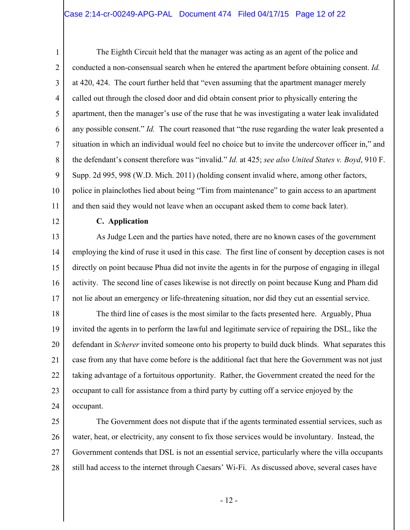### Case 2:14-cr-00249-APG-PAL Document 474 Filed 04/17/15 Page 12 of 22

1 2 3 4 5 6 7 8 9 10 11 The Eighth Circuit held that the manager was acting as an agent of the police and conducted a non-consensual search when he entered the apartment before obtaining consent. *Id.* at 420, 424. The court further held that "even assuming that the apartment manager merely called out through the closed door and did obtain consent prior to physically entering the apartment, then the manager's use of the ruse that he was investigating a water leak invalidated any possible consent." *Id.* The court reasoned that "the ruse regarding the water leak presented a situation in which an individual would feel no choice but to invite the undercover officer in," and the defendant's consent therefore was "invalid." *Id.* at 425; *see also United States v. Boyd*, 910 F. Supp. 2d 995, 998 (W.D. Mich. 2011) (holding consent invalid where, among other factors, police in plainclothes lied about being "Tim from maintenance" to gain access to an apartment and then said they would not leave when an occupant asked them to come back later).

12

#### **C. Application**

13 14 15 16 17 As Judge Leen and the parties have noted, there are no known cases of the government employing the kind of ruse it used in this case. The first line of consent by deception cases is not directly on point because Phua did not invite the agents in for the purpose of engaging in illegal activity. The second line of cases likewise is not directly on point because Kung and Pham did not lie about an emergency or life-threatening situation, nor did they cut an essential service.

18 19 20 21 22 23 24 The third line of cases is the most similar to the facts presented here. Arguably, Phua invited the agents in to perform the lawful and legitimate service of repairing the DSL, like the defendant in *Scherer* invited someone onto his property to build duck blinds. What separates this case from any that have come before is the additional fact that here the Government was not just taking advantage of a fortuitous opportunity. Rather, the Government created the need for the occupant to call for assistance from a third party by cutting off a service enjoyed by the occupant.

25 26 27 28 The Government does not dispute that if the agents terminated essential services, such as water, heat, or electricity, any consent to fix those services would be involuntary. Instead, the Government contends that DSL is not an essential service, particularly where the villa occupants still had access to the internet through Caesars' Wi-Fi. As discussed above, several cases have

- 12 -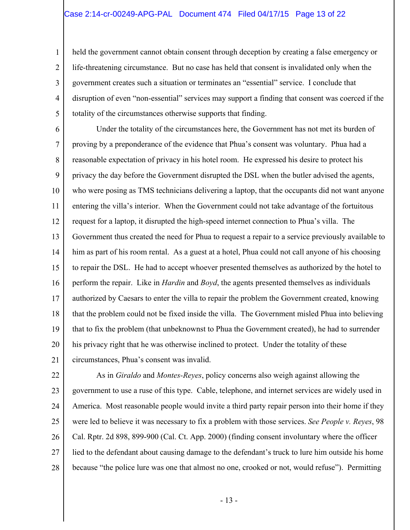#### Case 2:14-cr-00249-APG-PAL Document 474 Filed 04/17/15 Page 13 of 22

1

2

3

4

5

held the government cannot obtain consent through deception by creating a false emergency or life-threatening circumstance. But no case has held that consent is invalidated only when the government creates such a situation or terminates an "essential" service. I conclude that disruption of even "non-essential" services may support a finding that consent was coerced if the totality of the circumstances otherwise supports that finding.

6 7 8 9 10 11 12 13 14 15 16 17 18 19 20 21 Under the totality of the circumstances here, the Government has not met its burden of proving by a preponderance of the evidence that Phua's consent was voluntary. Phua had a reasonable expectation of privacy in his hotel room. He expressed his desire to protect his privacy the day before the Government disrupted the DSL when the butler advised the agents, who were posing as TMS technicians delivering a laptop, that the occupants did not want anyone entering the villa's interior. When the Government could not take advantage of the fortuitous request for a laptop, it disrupted the high-speed internet connection to Phua's villa. The Government thus created the need for Phua to request a repair to a service previously available to him as part of his room rental. As a guest at a hotel, Phua could not call anyone of his choosing to repair the DSL. He had to accept whoever presented themselves as authorized by the hotel to perform the repair. Like in *Hardin* and *Boyd*, the agents presented themselves as individuals authorized by Caesars to enter the villa to repair the problem the Government created, knowing that the problem could not be fixed inside the villa. The Government misled Phua into believing that to fix the problem (that unbeknownst to Phua the Government created), he had to surrender his privacy right that he was otherwise inclined to protect. Under the totality of these circumstances, Phua's consent was invalid.

22 23 24 25 26 27 28 As in *Giraldo* and *Montes-Reyes*, policy concerns also weigh against allowing the government to use a ruse of this type. Cable, telephone, and internet services are widely used in America. Most reasonable people would invite a third party repair person into their home if they were led to believe it was necessary to fix a problem with those services. *See People v. Reyes*, 98 Cal. Rptr. 2d 898, 899-900 (Cal. Ct. App. 2000) (finding consent involuntary where the officer lied to the defendant about causing damage to the defendant's truck to lure him outside his home because "the police lure was one that almost no one, crooked or not, would refuse"). Permitting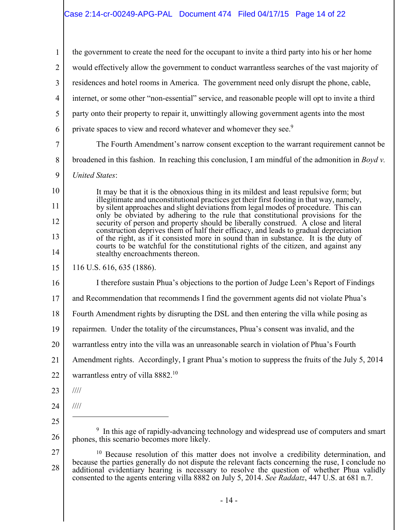## Case 2:14-cr-00249-APG-PAL Document 474 Filed 04/17/15 Page 14 of 22

1 2 3 4 5 6 7 8 9 10 11 12 13 14 15 16 17 18 19 20 21 22 23 24 25 26 27 28 the government to create the need for the occupant to invite a third party into his or her home would effectively allow the government to conduct warrantless searches of the vast majority of residences and hotel rooms in America. The government need only disrupt the phone, cable, internet, or some other "non-essential" service, and reasonable people will opt to invite a third party onto their property to repair it, unwittingly allowing government agents into the most private spaces to view and record whatever and whomever they see.<sup>9</sup> The Fourth Amendment's narrow consent exception to the warrant requirement cannot be broadened in this fashion. In reaching this conclusion, I am mindful of the admonition in *Boyd v. United States*: It may be that it is the obnoxious thing in its mildest and least repulsive form; but illegitimate and unconstitutional practices get their first footing in that way, namely, by silent approaches and slight deviations from legal modes of procedure. This can only be obviated by adhering to the rule that constitutional provisions for the security of person and property should be liberally construed. A close and literal construction deprives them of half their efficacy, and leads to gradual depreciation of the right, as if it consisted more in sound than in substance. It is the duty of courts to be watchful for the constitutional rights of the citizen, and against any stealthy encroachments thereon. 116 U.S. 616, 635 (1886). I therefore sustain Phua's objections to the portion of Judge Leen's Report of Findings and Recommendation that recommends I find the government agents did not violate Phua's Fourth Amendment rights by disrupting the DSL and then entering the villa while posing as repairmen. Under the totality of the circumstances, Phua's consent was invalid, and the warrantless entry into the villa was an unreasonable search in violation of Phua's Fourth Amendment rights. Accordingly, I grant Phua's motion to suppress the fruits of the July 5, 2014 warrantless entry of villa 8882.<sup>10</sup> //// ////  $\overline{a}$ <sup>9</sup> In this age of rapidly-advancing technology and widespread use of computers and smart phones, this scenario becomes more likely. <sup>10</sup> Because resolution of this matter does not involve a credibility determination, and because the parties generally do not dispute the relevant facts concerning the ruse, I conclude no additional evidentiary hearing is necessary to resolve the question of whether Phua validly consented to the agents entering villa 8882 on July 5, 2014. *See Raddatz*, 447 U.S. at 681 n.7.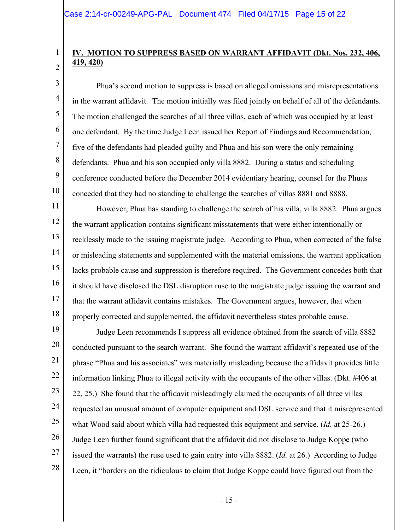1

2

3

4

5

6

7

8

9

10

# **IV. MOTION TO SUPPRESS BASED ON WARRANT AFFIDAVIT (Dkt. Nos. 232, 406, 419, 420)**

 Phua's second motion to suppress is based on alleged omissions and misrepresentations in the warrant affidavit. The motion initially was filed jointly on behalf of all of the defendants. The motion challenged the searches of all three villas, each of which was occupied by at least one defendant. By the time Judge Leen issued her Report of Findings and Recommendation, five of the defendants had pleaded guilty and Phua and his son were the only remaining defendants. Phua and his son occupied only villa 8882. During a status and scheduling conference conducted before the December 2014 evidentiary hearing, counsel for the Phuas conceded that they had no standing to challenge the searches of villas 8881 and 8888.

11 12 13 14 15 16 17 18 However, Phua has standing to challenge the search of his villa, villa 8882. Phua argues the warrant application contains significant misstatements that were either intentionally or recklessly made to the issuing magistrate judge. According to Phua, when corrected of the false or misleading statements and supplemented with the material omissions, the warrant application lacks probable cause and suppression is therefore required. The Government concedes both that it should have disclosed the DSL disruption ruse to the magistrate judge issuing the warrant and that the warrant affidavit contains mistakes. The Government argues, however, that when properly corrected and supplemented, the affidavit nevertheless states probable cause.

19 20 21 22 23 24 25 26 27 28 Judge Leen recommends I suppress all evidence obtained from the search of villa 8882 conducted pursuant to the search warrant. She found the warrant affidavit's repeated use of the phrase "Phua and his associates" was materially misleading because the affidavit provides little information linking Phua to illegal activity with the occupants of the other villas. (Dkt. #406 at 22, 25.) She found that the affidavit misleadingly claimed the occupants of all three villas requested an unusual amount of computer equipment and DSL service and that it misrepresented what Wood said about which villa had requested this equipment and service. (*Id.* at 25-26.) Judge Leen further found significant that the affidavit did not disclose to Judge Koppe (who issued the warrants) the ruse used to gain entry into villa 8882. (*Id.* at 26.) According to Judge Leen, it "borders on the ridiculous to claim that Judge Koppe could have figured out from the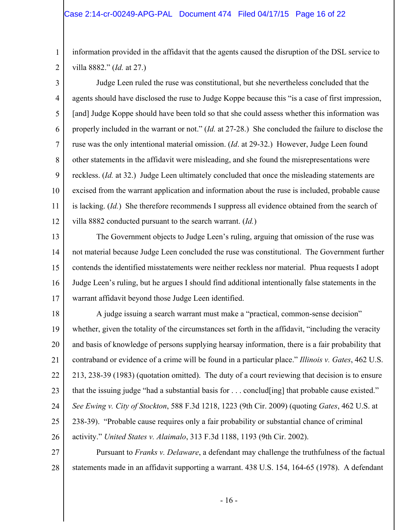#### Case 2:14-cr-00249-APG-PAL Document 474 Filed 04/17/15 Page 16 of 22

1

2

information provided in the affidavit that the agents caused the disruption of the DSL service to villa 8882." (*Id.* at 27.)

3 4 5 6 7 8 9 10 11 12 Judge Leen ruled the ruse was constitutional, but she nevertheless concluded that the agents should have disclosed the ruse to Judge Koppe because this "is a case of first impression, [and] Judge Koppe should have been told so that she could assess whether this information was properly included in the warrant or not." (*Id.* at 27-28.) She concluded the failure to disclose the ruse was the only intentional material omission. (*Id*. at 29-32.) However, Judge Leen found other statements in the affidavit were misleading, and she found the misrepresentations were reckless. (*Id.* at 32.) Judge Leen ultimately concluded that once the misleading statements are excised from the warrant application and information about the ruse is included, probable cause is lacking. (*Id.*) She therefore recommends I suppress all evidence obtained from the search of villa 8882 conducted pursuant to the search warrant. (*Id.*)

13 14 15 16 17 The Government objects to Judge Leen's ruling, arguing that omission of the ruse was not material because Judge Leen concluded the ruse was constitutional. The Government further contends the identified misstatements were neither reckless nor material. Phua requests I adopt Judge Leen's ruling, but he argues I should find additional intentionally false statements in the warrant affidavit beyond those Judge Leen identified.

18 19 20 21 22 23 24 25 26 A judge issuing a search warrant must make a "practical, common-sense decision" whether, given the totality of the circumstances set forth in the affidavit, "including the veracity and basis of knowledge of persons supplying hearsay information, there is a fair probability that contraband or evidence of a crime will be found in a particular place." *Illinois v. Gates*, 462 U.S. 213, 238-39 (1983) (quotation omitted). The duty of a court reviewing that decision is to ensure that the issuing judge "had a substantial basis for . . . conclud[ing] that probable cause existed." *See Ewing v. City of Stockton*, 588 F.3d 1218, 1223 (9th Cir. 2009) (quoting *Gates*, 462 U.S. at 238-39). "Probable cause requires only a fair probability or substantial chance of criminal activity." *United States v. Alaimalo*, 313 F.3d 1188, 1193 (9th Cir. 2002).

27 28 Pursuant to *Franks v. Delaware*, a defendant may challenge the truthfulness of the factual statements made in an affidavit supporting a warrant. 438 U.S. 154, 164-65 (1978). A defendant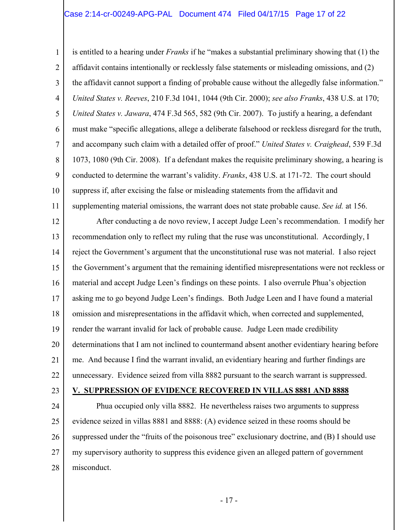#### Case 2:14-cr-00249-APG-PAL Document 474 Filed 04/17/15 Page 17 of 22

1 2 3 4 5 6 7 8 9 10 11 is entitled to a hearing under *Franks* if he "makes a substantial preliminary showing that (1) the affidavit contains intentionally or recklessly false statements or misleading omissions, and (2) the affidavit cannot support a finding of probable cause without the allegedly false information." *United States v. Reeves*, 210 F.3d 1041, 1044 (9th Cir. 2000); *see also Franks*, 438 U.S. at 170; *United States v. Jawara*, 474 F.3d 565, 582 (9th Cir. 2007). To justify a hearing, a defendant must make "specific allegations, allege a deliberate falsehood or reckless disregard for the truth, and accompany such claim with a detailed offer of proof." *United States v. Craighead*, 539 F.3d 1073, 1080 (9th Cir. 2008). If a defendant makes the requisite preliminary showing, a hearing is conducted to determine the warrant's validity. *Franks*, 438 U.S. at 171-72. The court should suppress if, after excising the false or misleading statements from the affidavit and supplementing material omissions, the warrant does not state probable cause. *See id.* at 156.

12 13 14 15 16 17 18 19 20 21 22 After conducting a de novo review, I accept Judge Leen's recommendation. I modify her recommendation only to reflect my ruling that the ruse was unconstitutional. Accordingly, I reject the Government's argument that the unconstitutional ruse was not material. I also reject the Government's argument that the remaining identified misrepresentations were not reckless or material and accept Judge Leen's findings on these points. I also overrule Phua's objection asking me to go beyond Judge Leen's findings. Both Judge Leen and I have found a material omission and misrepresentations in the affidavit which, when corrected and supplemented, render the warrant invalid for lack of probable cause. Judge Leen made credibility determinations that I am not inclined to countermand absent another evidentiary hearing before me. And because I find the warrant invalid, an evidentiary hearing and further findings are unnecessary. Evidence seized from villa 8882 pursuant to the search warrant is suppressed.

23

#### **V. SUPPRESSION OF EVIDENCE RECOVERED IN VILLAS 8881 AND 8888**

24 25 26 27 28 Phua occupied only villa 8882. He nevertheless raises two arguments to suppress evidence seized in villas 8881 and 8888: (A) evidence seized in these rooms should be suppressed under the "fruits of the poisonous tree" exclusionary doctrine, and (B) I should use my supervisory authority to suppress this evidence given an alleged pattern of government misconduct.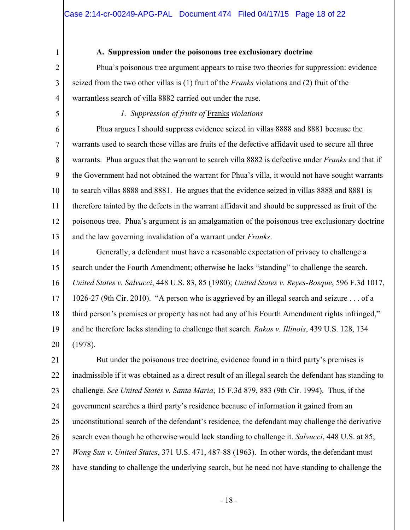2

3

4

1

### **A. Suppression under the poisonous tree exclusionary doctrine**

 Phua's poisonous tree argument appears to raise two theories for suppression: evidence seized from the two other villas is (1) fruit of the *Franks* violations and (2) fruit of the warrantless search of villa 8882 carried out under the ruse.

5

*1. Suppression of fruits of* Franks *violations* 

6 7 8 9 10 11 12 13 Phua argues I should suppress evidence seized in villas 8888 and 8881 because the warrants used to search those villas are fruits of the defective affidavit used to secure all three warrants. Phua argues that the warrant to search villa 8882 is defective under *Franks* and that if the Government had not obtained the warrant for Phua's villa, it would not have sought warrants to search villas 8888 and 8881. He argues that the evidence seized in villas 8888 and 8881 is therefore tainted by the defects in the warrant affidavit and should be suppressed as fruit of the poisonous tree. Phua's argument is an amalgamation of the poisonous tree exclusionary doctrine and the law governing invalidation of a warrant under *Franks*.

14 15 16 17 18 19 20 Generally, a defendant must have a reasonable expectation of privacy to challenge a search under the Fourth Amendment; otherwise he lacks "standing" to challenge the search. *United States v. Salvucci*, 448 U.S. 83, 85 (1980); *United States v. Reyes-Bosque*, 596 F.3d 1017, 1026-27 (9th Cir. 2010). "A person who is aggrieved by an illegal search and seizure . . . of a third person's premises or property has not had any of his Fourth Amendment rights infringed," and he therefore lacks standing to challenge that search. *Rakas v. Illinois*, 439 U.S. 128, 134 (1978).

21 22 23 24 25 26 27 28 But under the poisonous tree doctrine, evidence found in a third party's premises is inadmissible if it was obtained as a direct result of an illegal search the defendant has standing to challenge. *See United States v. Santa Maria*, 15 F.3d 879, 883 (9th Cir. 1994). Thus, if the government searches a third party's residence because of information it gained from an unconstitutional search of the defendant's residence, the defendant may challenge the derivative search even though he otherwise would lack standing to challenge it. *Salvucci*, 448 U.S. at 85; *Wong Sun v. United States*, 371 U.S. 471, 487-88 (1963). In other words, the defendant must have standing to challenge the underlying search, but he need not have standing to challenge the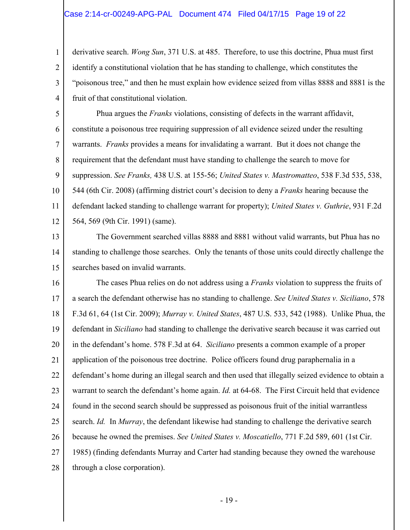#### Case 2:14-cr-00249-APG-PAL Document 474 Filed 04/17/15 Page 19 of 22

1

2

3 4 derivative search. *Wong Sun*, 371 U.S. at 485. Therefore, to use this doctrine, Phua must first identify a constitutional violation that he has standing to challenge, which constitutes the "poisonous tree," and then he must explain how evidence seized from villas 8888 and 8881 is the fruit of that constitutional violation.

5 6 7 8 9 10 11 12 Phua argues the *Franks* violations, consisting of defects in the warrant affidavit, constitute a poisonous tree requiring suppression of all evidence seized under the resulting warrants. *Franks* provides a means for invalidating a warrant. But it does not change the requirement that the defendant must have standing to challenge the search to move for suppression. *See Franks,* 438 U.S. at 155-56; *United States v. Mastromatteo*, 538 F.3d 535, 538, 544 (6th Cir. 2008) (affirming district court's decision to deny a *Franks* hearing because the defendant lacked standing to challenge warrant for property); *United States v. Guthrie*, 931 F.2d 564, 569 (9th Cir. 1991) (same).

13 14 15 The Government searched villas 8888 and 8881 without valid warrants, but Phua has no standing to challenge those searches. Only the tenants of those units could directly challenge the searches based on invalid warrants.

16 17 18 19 20 21 22 23 24 25 26 27 28 The cases Phua relies on do not address using a *Franks* violation to suppress the fruits of a search the defendant otherwise has no standing to challenge. *See United States v. Siciliano*, 578 F.3d 61, 64 (1st Cir. 2009); *Murray v. United States*, 487 U.S. 533, 542 (1988). Unlike Phua, the defendant in *Siciliano* had standing to challenge the derivative search because it was carried out in the defendant's home. 578 F.3d at 64. *Siciliano* presents a common example of a proper application of the poisonous tree doctrine. Police officers found drug paraphernalia in a defendant's home during an illegal search and then used that illegally seized evidence to obtain a warrant to search the defendant's home again. *Id.* at 64-68. The First Circuit held that evidence found in the second search should be suppressed as poisonous fruit of the initial warrantless search. *Id.* In *Murray*, the defendant likewise had standing to challenge the derivative search because he owned the premises. *See United States v. Moscatiello*, 771 F.2d 589, 601 (1st Cir. 1985) (finding defendants Murray and Carter had standing because they owned the warehouse through a close corporation).

- 19 -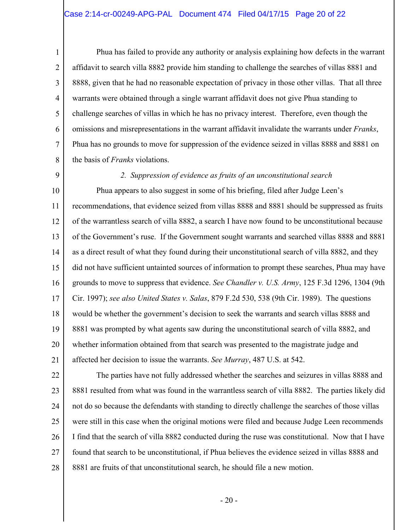### Case 2:14-cr-00249-APG-PAL Document 474 Filed 04/17/15 Page 20 of 22

 Phua has failed to provide any authority or analysis explaining how defects in the warrant affidavit to search villa 8882 provide him standing to challenge the searches of villas 8881 and 8888, given that he had no reasonable expectation of privacy in those other villas. That all three warrants were obtained through a single warrant affidavit does not give Phua standing to challenge searches of villas in which he has no privacy interest. Therefore, even though the omissions and misrepresentations in the warrant affidavit invalidate the warrants under *Franks*, Phua has no grounds to move for suppression of the evidence seized in villas 8888 and 8881 on the basis of *Franks* violations.

9

1

2

3

4

5

6

7

8

#### *2. Suppression of evidence as fruits of an unconstitutional search*

10 11 12 13 14 15 16 17 18 19 20 21 Phua appears to also suggest in some of his briefing, filed after Judge Leen's recommendations, that evidence seized from villas 8888 and 8881 should be suppressed as fruits of the warrantless search of villa 8882, a search I have now found to be unconstitutional because of the Government's ruse. If the Government sought warrants and searched villas 8888 and 8881 as a direct result of what they found during their unconstitutional search of villa 8882, and they did not have sufficient untainted sources of information to prompt these searches, Phua may have grounds to move to suppress that evidence. *See Chandler v. U.S. Army*, 125 F.3d 1296, 1304 (9th Cir. 1997); *see also United States v. Salas*, 879 F.2d 530, 538 (9th Cir. 1989). The questions would be whether the government's decision to seek the warrants and search villas 8888 and 8881 was prompted by what agents saw during the unconstitutional search of villa 8882, and whether information obtained from that search was presented to the magistrate judge and affected her decision to issue the warrants. *See Murray*, 487 U.S. at 542.

22 23 24 25 26 27 28 The parties have not fully addressed whether the searches and seizures in villas 8888 and 8881 resulted from what was found in the warrantless search of villa 8882. The parties likely did not do so because the defendants with standing to directly challenge the searches of those villas were still in this case when the original motions were filed and because Judge Leen recommends I find that the search of villa 8882 conducted during the ruse was constitutional. Now that I have found that search to be unconstitutional, if Phua believes the evidence seized in villas 8888 and 8881 are fruits of that unconstitutional search, he should file a new motion.

- 20 -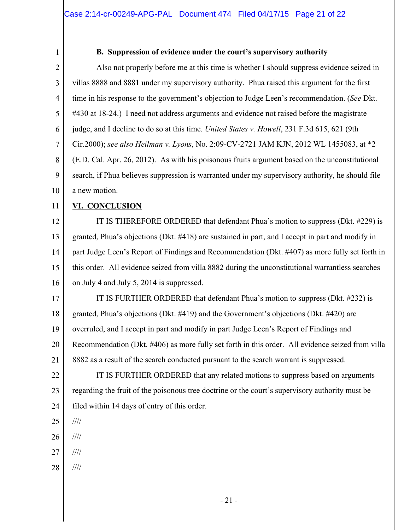1

## **B. Suppression of evidence under the court's supervisory authority**

2 3 4 5 6 7 8 9 10 Also not properly before me at this time is whether I should suppress evidence seized in villas 8888 and 8881 under my supervisory authority. Phua raised this argument for the first time in his response to the government's objection to Judge Leen's recommendation. (*See* Dkt. #430 at 18-24.) I need not address arguments and evidence not raised before the magistrate judge, and I decline to do so at this time. *United States v. Howell*, 231 F.3d 615, 621 (9th Cir.2000); *see also Heilman v. Lyons*, No. 2:09-CV-2721 JAM KJN, 2012 WL 1455083, at \*2 (E.D. Cal. Apr. 26, 2012). As with his poisonous fruits argument based on the unconstitutional search, if Phua believes suppression is warranted under my supervisory authority, he should file a new motion.

#### 11 **VI. CONCLUSION**

12

13 14 15 16 IT IS THEREFORE ORDERED that defendant Phua's motion to suppress (Dkt. #229) is granted, Phua's objections (Dkt. #418) are sustained in part, and I accept in part and modify in part Judge Leen's Report of Findings and Recommendation (Dkt. #407) as more fully set forth in this order. All evidence seized from villa 8882 during the unconstitutional warrantless searches on July 4 and July 5, 2014 is suppressed.

17 18 19 20 21 IT IS FURTHER ORDERED that defendant Phua's motion to suppress (Dkt. #232) is granted, Phua's objections (Dkt. #419) and the Government's objections (Dkt. #420) are overruled, and I accept in part and modify in part Judge Leen's Report of Findings and Recommendation (Dkt. #406) as more fully set forth in this order. All evidence seized from villa 8882 as a result of the search conducted pursuant to the search warrant is suppressed.

22 23 24 IT IS FURTHER ORDERED that any related motions to suppress based on arguments regarding the fruit of the poisonous tree doctrine or the court's supervisory authority must be filed within 14 days of entry of this order.

- 25 ////
- 26 ////
- 27 ////
- 28 ////